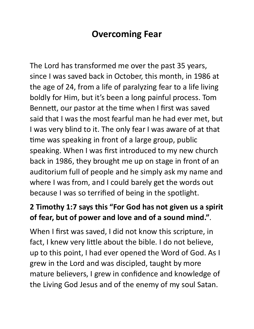## **Overcoming Fear**

The Lord has transformed me over the past 35 years, since I was saved back in October, this month, in 1986 at the age of 24, from a life of paralyzing fear to a life living boldly for Him, but it's been a long painful process. Tom Bennett, our pastor at the time when I first was saved said that I was the most fearful man he had ever met, but I was very blind to it. The only fear I was aware of at that time was speaking in front of a large group, public speaking. When I was first introduced to my new church back in 1986, they brought me up on stage in front of an auditorium full of people and he simply ask my name and where I was from, and I could barely get the words out because I was so terrified of being in the spotlight.

## **2 Timothy 1:7 says this "For God has not given us a spirit of fear, but of power and love and of a sound mind."**.

When I first was saved, I did not know this scripture, in fact, I knew very little about the bible. I do not believe, up to this point, I had ever opened the Word of God. As I grew in the Lord and was discipled, taught by more mature believers, I grew in confidence and knowledge of the Living God Jesus and of the enemy of my soul Satan.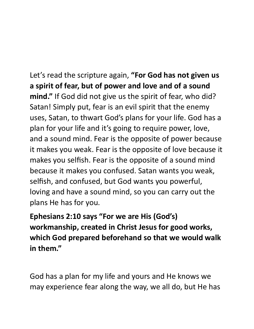Let's read the scripture again, **"For God has not given us a spirit of fear, but of power and love and of a sound mind."** If God did not give us the spirit of fear, who did? Satan! Simply put, fear is an evil spirit that the enemy uses, Satan, to thwart God's plans for your life. God has a plan for your life and it's going to require power, love, and a sound mind. Fear is the opposite of power because it makes you weak. Fear is the opposite of love because it makes you selfish. Fear is the opposite of a sound mind because it makes you confused. Satan wants you weak, selfish, and confused, but God wants you powerful, loving and have a sound mind, so you can carry out the plans He has for you.

**Ephesians 2:10 says "For we are His (God's) workmanship, created in Christ Jesus for good works, which God prepared beforehand so that we would walk in them."**

God has a plan for my life and yours and He knows we may experience fear along the way, we all do, but He has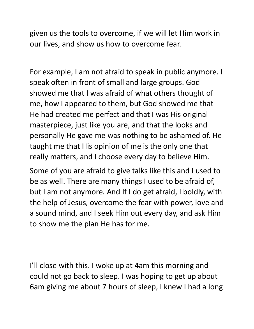given us the tools to overcome, if we will let Him work in our lives, and show us how to overcome fear.

For example, I am not afraid to speak in public anymore. I speak often in front of small and large groups. God showed me that I was afraid of what others thought of me, how I appeared to them, but God showed me that He had created me perfect and that I was His original masterpiece, just like you are, and that the looks and personally He gave me was nothing to be ashamed of. He taught me that His opinion of me is the only one that really matters, and I choose every day to believe Him.

Some of you are afraid to give talks like this and I used to be as well. There are many things I used to be afraid of, but I am not anymore. And If I do get afraid, I boldly, with the help of Jesus, overcome the fear with power, love and a sound mind, and I seek Him out every day, and ask Him to show me the plan He has for me.

I'll close with this. I woke up at 4am this morning and could not go back to sleep. I was hoping to get up about 6am giving me about 7 hours of sleep, I knew I had a long